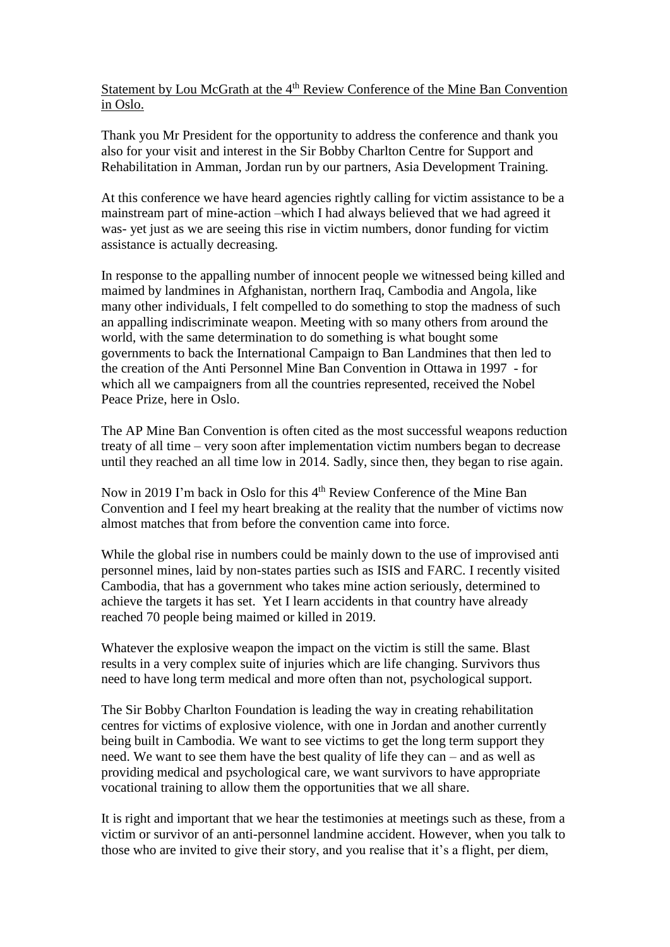Statement by Lou McGrath at the 4<sup>th</sup> Review Conference of the Mine Ban Convention in Oslo.

Thank you Mr President for the opportunity to address the conference and thank you also for your visit and interest in the Sir Bobby Charlton Centre for Support and Rehabilitation in Amman, Jordan run by our partners, Asia Development Training.

At this conference we have heard agencies rightly calling for victim assistance to be a mainstream part of mine-action –which I had always believed that we had agreed it was- yet just as we are seeing this rise in victim numbers, donor funding for victim assistance is actually decreasing.

In response to the appalling number of innocent people we witnessed being killed and maimed by landmines in Afghanistan, northern Iraq, Cambodia and Angola, like many other individuals, I felt compelled to do something to stop the madness of such an appalling indiscriminate weapon. Meeting with so many others from around the world, with the same determination to do something is what bought some governments to back the International Campaign to Ban Landmines that then led to the creation of the Anti Personnel Mine Ban Convention in Ottawa in 1997 - for which all we campaigners from all the countries represented, received the Nobel Peace Prize, here in Oslo.

The AP Mine Ban Convention is often cited as the most successful weapons reduction treaty of all time – very soon after implementation victim numbers began to decrease until they reached an all time low in 2014. Sadly, since then, they began to rise again.

Now in 2019 I'm back in Oslo for this 4<sup>th</sup> Review Conference of the Mine Ban Convention and I feel my heart breaking at the reality that the number of victims now almost matches that from before the convention came into force.

While the global rise in numbers could be mainly down to the use of improvised anti personnel mines, laid by non-states parties such as ISIS and FARC. I recently visited Cambodia, that has a government who takes mine action seriously, determined to achieve the targets it has set. Yet I learn accidents in that country have already reached 70 people being maimed or killed in 2019.

Whatever the explosive weapon the impact on the victim is still the same. Blast results in a very complex suite of injuries which are life changing. Survivors thus need to have long term medical and more often than not, psychological support.

The Sir Bobby Charlton Foundation is leading the way in creating rehabilitation centres for victims of explosive violence, with one in Jordan and another currently being built in Cambodia. We want to see victims to get the long term support they need. We want to see them have the best quality of life they can – and as well as providing medical and psychological care, we want survivors to have appropriate vocational training to allow them the opportunities that we all share.

It is right and important that we hear the testimonies at meetings such as these, from a victim or survivor of an anti-personnel landmine accident. However, when you talk to those who are invited to give their story, and you realise that it's a flight, per diem,